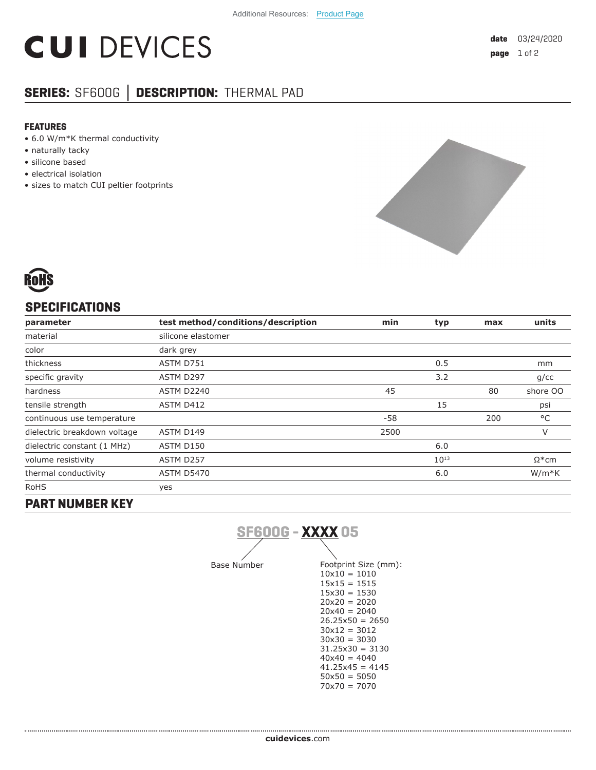# **CUI DEVICES**

## **SERIES:** SF600G **│ DESCRIPTION:** THERMAL PAD

#### **FEATURES**

- 6.0 W/m\*K thermal conductivity
- naturally tacky
- silicone based
- electrical isolation
- sizes to match CUI peltier footprints





#### **SPECIFICATIONS**

| parameter                    | test method/conditions/description | min  | typ       | max | units         |
|------------------------------|------------------------------------|------|-----------|-----|---------------|
| material                     | silicone elastomer                 |      |           |     |               |
| color                        | dark grey                          |      |           |     |               |
| thickness                    | ASTM D751                          |      | 0.5       |     | mm            |
| specific gravity             | ASTM D297                          |      | 3.2       |     | q/cc          |
| hardness                     | ASTM D2240                         | 45   |           | 80  | shore OO      |
| tensile strength             | ASTM D412                          |      | 15        |     | psi           |
| continuous use temperature   |                                    | -58  |           | 200 | °C            |
| dielectric breakdown voltage | ASTM D149                          | 2500 |           |     | V             |
| dielectric constant (1 MHz)  | ASTM D150                          |      | 6.0       |     |               |
| volume resistivity           | ASTM D257                          |      | $10^{13}$ |     | $\Omega^*$ cm |
| thermal conductivity         | <b>ASTM D5470</b>                  |      | 6.0       |     | $W/m*K$       |
| <b>RoHS</b>                  | yes                                |      |           |     |               |

### **PART NUMBER KEY**



Base Number Footprint Size (mm):  $10\times10 = 1010$  $15x15 = 1515$  $15x30 = 1530$ 20x20 = 2020  $20x40 = 2040$  $26.25x50 = 2650$  $30x12 = 3012$  $30x30 = 3030$ 31.25x30 = 3130  $40x40 = 4040$  $41.25x45 = 4145$  $50x50 = 5050$ 70x70 = 7070